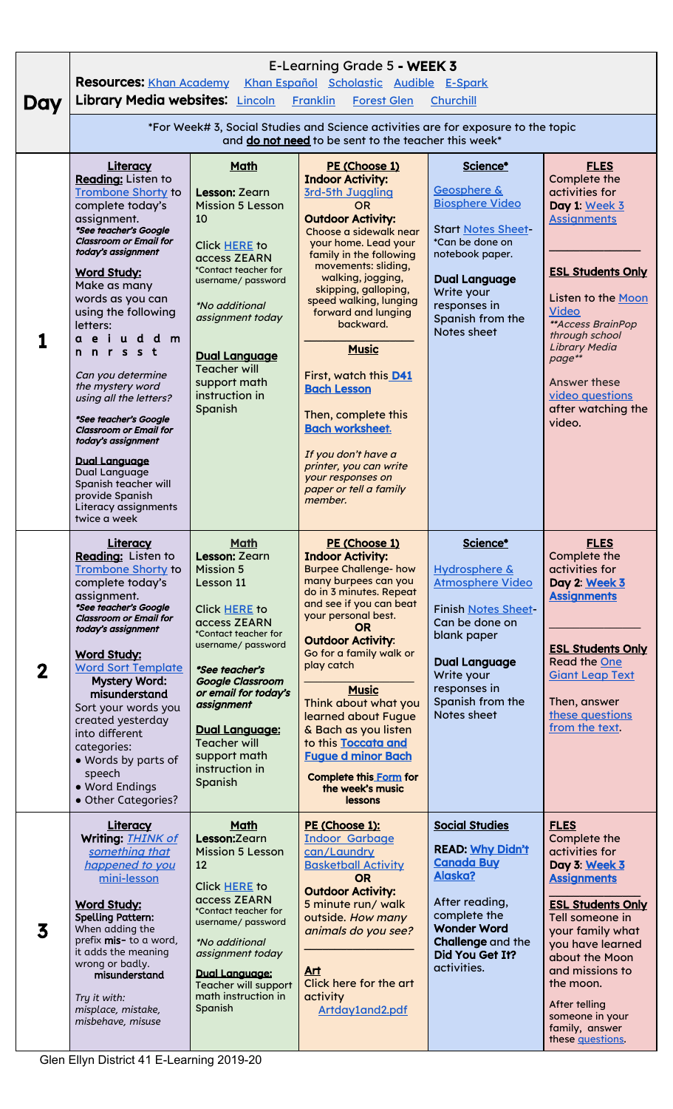|     | E-Learning Grade 5 - WEEK 3<br><b>Resources: Khan Academy</b><br>Khan Español Scholastic Audible E-Spark                                                                                                                                                                                                                                                                                                                                  |                                                                                                                                                                                                                                                                                                                       |                                                                                                                                                                                                                                                                                                                                                                                                                                                                            |                                                                                                                                                                                                              |                                                                                                                                                                                                                                                                                                         |  |  |  |  |
|-----|-------------------------------------------------------------------------------------------------------------------------------------------------------------------------------------------------------------------------------------------------------------------------------------------------------------------------------------------------------------------------------------------------------------------------------------------|-----------------------------------------------------------------------------------------------------------------------------------------------------------------------------------------------------------------------------------------------------------------------------------------------------------------------|----------------------------------------------------------------------------------------------------------------------------------------------------------------------------------------------------------------------------------------------------------------------------------------------------------------------------------------------------------------------------------------------------------------------------------------------------------------------------|--------------------------------------------------------------------------------------------------------------------------------------------------------------------------------------------------------------|---------------------------------------------------------------------------------------------------------------------------------------------------------------------------------------------------------------------------------------------------------------------------------------------------------|--|--|--|--|
| Day | Library Media websites: Lincoln Franklin<br><b>Forest Glen</b><br>Churchill                                                                                                                                                                                                                                                                                                                                                               |                                                                                                                                                                                                                                                                                                                       |                                                                                                                                                                                                                                                                                                                                                                                                                                                                            |                                                                                                                                                                                                              |                                                                                                                                                                                                                                                                                                         |  |  |  |  |
|     |                                                                                                                                                                                                                                                                                                                                                                                                                                           |                                                                                                                                                                                                                                                                                                                       |                                                                                                                                                                                                                                                                                                                                                                                                                                                                            |                                                                                                                                                                                                              |                                                                                                                                                                                                                                                                                                         |  |  |  |  |
|     | *For Week# 3, Social Studies and Science activities are for exposure to the topic<br>and do not need to be sent to the teacher this week*                                                                                                                                                                                                                                                                                                 |                                                                                                                                                                                                                                                                                                                       |                                                                                                                                                                                                                                                                                                                                                                                                                                                                            |                                                                                                                                                                                                              |                                                                                                                                                                                                                                                                                                         |  |  |  |  |
|     | Literacy                                                                                                                                                                                                                                                                                                                                                                                                                                  | Math                                                                                                                                                                                                                                                                                                                  | PE (Choose 1)                                                                                                                                                                                                                                                                                                                                                                                                                                                              | Science*                                                                                                                                                                                                     | <b>FLES</b>                                                                                                                                                                                                                                                                                             |  |  |  |  |
|     | Reading: Listen to<br><b>Trombone Shorty to</b><br>complete today's<br>assignment.<br>*See teacher's Google<br><b>Classroom or Email for</b><br>today's assignment<br><b>Word Study:</b><br>Make as many<br>words as you can<br>using the following<br>letters:<br>ae iudd m<br>nnrsst<br>Can you determine<br>the mystery word<br>using all the letters?<br>*See teacher's Google<br><b>Classroom or Email for</b><br>today's assignment | <b>Lesson: Zearn</b><br><b>Mission 5 Lesson</b><br>10<br>Click HERE to<br>access ZEARN<br>*Contact teacher for<br>username/ password<br><i>*No additional</i><br>assignment today<br><b>Dual Language</b><br><b>Teacher will</b><br>support math<br>instruction in<br>Spanish                                         | <b>Indoor Activity:</b><br>3rd-5th Juggling<br><b>OR</b><br><b>Outdoor Activity:</b><br>Choose a sidewalk near<br>your home. Lead your<br>family in the following<br>movements: sliding,<br>walking, jogging,<br>skipping, galloping,<br>speed walking, lunging<br>forward and lunging<br>backward.<br><b>Music</b><br>First, watch this D41<br><b>Bach Lesson</b><br>Then, complete this<br><b>Bach worksheet.</b><br>If you don't have a                                 | Geosphere &<br><b>Biosphere Video</b><br><b>Start Notes Sheet-</b><br>*Can be done on<br>notebook paper.<br><b>Dual Language</b><br>Write your<br>responses in<br>Spanish from the<br>Notes sheet            | Complete the<br>activities for<br>Day 1: Week 3<br><b>Assignments</b><br><b>ESL Students Only</b><br>Listen to the Moon<br><b>Video</b><br>** Access BrainPop<br>through school<br><b>Library Media</b><br>page**<br><b>Answer these</b><br>video questions<br>after watching the<br>video.             |  |  |  |  |
|     | <b>Dual Language</b><br>Dual Language<br>Spanish teacher will<br>provide Spanish<br>Literacy assignments<br>twice a week                                                                                                                                                                                                                                                                                                                  |                                                                                                                                                                                                                                                                                                                       | printer, you can write<br>your responses on<br>paper or tell a family<br>member.                                                                                                                                                                                                                                                                                                                                                                                           |                                                                                                                                                                                                              |                                                                                                                                                                                                                                                                                                         |  |  |  |  |
| 2   | Literacy<br>Reading: Listen to<br><b>Trombone Shorty to</b><br>complete today's<br>assignment.<br>*See teacher's Google<br><b>Classroom or Email for</b><br>today's assignment<br><b>Word Study:</b><br><b>Word Sort Template</b><br><b>Mystery Word:</b><br>misunderstand<br>Sort your words you<br>created yesterday<br>into different<br>categories:<br>· Words by parts of<br>speech<br>· Word Endings<br>• Other Categories?         | <b>Math</b><br>Lesson: Zearn<br><b>Mission 5</b><br>Lesson 11<br>Click HERE to<br>access ZEARN<br>*Contact teacher for<br>username/ password<br>*See teacher's<br><b>Google Classroom</b><br>or email for today's<br>assignment<br>Dual Language:<br><b>Teacher will</b><br>support math<br>instruction in<br>Spanish | PE (Choose 1)<br><b>Indoor Activity:</b><br><b>Burpee Challenge- how</b><br>many burpees can you<br>do in 3 minutes. Repeat<br>and see if you can beat<br>your personal best.<br><b>OR</b><br><b>Outdoor Activity:</b><br>Go for a family walk or<br>play catch<br><b>Music</b><br>Think about what you<br>learned about Fugue<br>& Bach as you listen<br>to this Toccata and<br><b>Fugue d minor Bach</b><br><b>Complete this Form for</b><br>the week's music<br>lessons | Science*<br>Hydrosphere &<br><b>Atmosphere Video</b><br><b>Finish Notes Sheet-</b><br>Can be done on<br>blank paper<br><b>Dual Language</b><br>Write your<br>responses in<br>Spanish from the<br>Notes sheet | <b>FLES</b><br>Complete the<br>activities for<br>Day 2: Week 3<br><b>Assignments</b><br><b>ESL Students Only</b><br><b>Read the One</b><br><b>Giant Leap Text</b><br>Then, answer<br>these questions<br>from the text.                                                                                  |  |  |  |  |
| 3   | <b>Literacy</b><br>Writing: <b>THINK of</b><br>something that<br>happened to you<br>mini-lesson<br><b>Word Study:</b><br><b>Spelling Pattern:</b><br>When adding the<br>prefix mis- to a word,<br>it adds the meaning<br>wrong or badly.<br>misunderstand<br>Try it with:<br>misplace, mistake,<br>misbehave, misuse                                                                                                                      | Math<br>Lesson:Zearn<br><b>Mission 5 Lesson</b><br>12<br>Click HERE to<br>access ZEARN<br>*Contact teacher for<br>username/ password<br><i>*No additional</i><br>assignment today<br><b>Dual Language:</b><br><b>Teacher will support</b><br>math instruction in<br>Spanish                                           | PE (Choose 1):<br><b>Indoor Garbage</b><br>can/Laundry<br><b>Basketball Activity</b><br><b>OR</b><br><b>Outdoor Activity:</b><br>5 minute run/ walk<br>outside. How many<br>animals do you see?<br>Art<br>Click here for the art<br>activity<br>Artday1and2.pdf                                                                                                                                                                                                            | <b>Social Studies</b><br><b>READ: Why Didn't</b><br><b>Canada Buy</b><br>Alaska?<br>After reading,<br>complete the<br><b>Wonder Word</b><br>Challenge and the<br>Did You Get It?<br>activities.              | <b>FLES</b><br>Complete the<br>activities for<br>Day 3: Week 3<br><b>Assignments</b><br><b>ESL Students Only</b><br>Tell someone in<br>your family what<br>you have learned<br>about the Moon<br>and missions to<br>the moon.<br>After telling<br>someone in your<br>family, answer<br>these questions. |  |  |  |  |